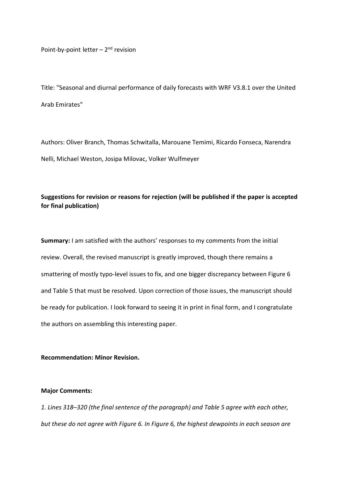Point-by-point letter  $-2<sup>nd</sup>$  revision

Title: "Seasonal and diurnal performance of daily forecasts with WRF V3.8.1 over the United Arab Emirates"

Authors: Oliver Branch, Thomas Schwitalla, Marouane Temimi, Ricardo Fonseca, Narendra Nelli, Michael Weston, Josipa Milovac, Volker Wulfmeyer

# **Suggestions for revision or reasons for rejection (will be published if the paper is accepted for final publication)**

**Summary:** I am satisfied with the authors' responses to my comments from the initial review. Overall, the revised manuscript is greatly improved, though there remains a smattering of mostly typo-level issues to fix, and one bigger discrepancy between Figure 6 and Table 5 that must be resolved. Upon correction of those issues, the manuscript should be ready for publication. I look forward to seeing it in print in final form, and I congratulate the authors on assembling this interesting paper.

**Recommendation: Minor Revision.**

### **Major Comments:**

*1. Lines 318–320 (the final sentence of the paragraph) and Table 5 agree with each other, but these do not agree with Figure 6. In Figure 6, the highest dewpoints in each season are*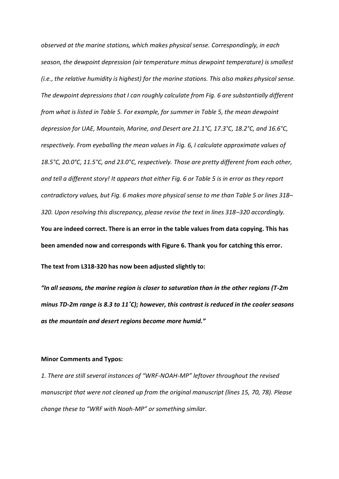*observed at the marine stations, which makes physical sense. Correspondingly, in each season, the dewpoint depression (air temperature minus dewpoint temperature) is smallest (i.e., the relative humidity is highest) for the marine stations. This also makes physical sense. The dewpoint depressions that I can roughly calculate from Fig. 6 are substantially different from what is listed in Table 5. For example, for summer in Table 5, the mean dewpoint depression for UAE, Mountain, Marine, and Desert are 21.1°C, 17.3°C, 18.2°C, and 16.6°C, respectively. From eyeballing the mean values in Fig. 6, I calculate approximate values of 18.5°C, 20.0°C, 11.5°C, and 23.0°C, respectively. Those are pretty different from each other, and tell a different story! It appears that either Fig. 6 or Table 5 is in error as they report contradictory values, but Fig. 6 makes more physical sense to me than Table 5 or lines 318– 320. Upon resolving this discrepancy, please revise the text in lines 318–320 accordingly.* **You are indeed correct. There is an error in the table values from data copying. This has been amended now and corresponds with Figure 6. Thank you for catching this error.**

**The text from L318-320 has now been adjusted slightly to:**

*"In all seasons, the marine region is closer to saturation than in the other regions (T-2m minus TD-2m range is 8.3 to 11˚C); however, this contrast is reduced in the cooler seasons as the mountain and desert regions become more humid."*

#### **Minor Comments and Typos:**

*1. There are still several instances of "WRF-NOAH-MP" leftover throughout the revised manuscript that were not cleaned up from the original manuscript (lines 15, 70, 78). Please change these to "WRF with Noah-MP" or something similar.*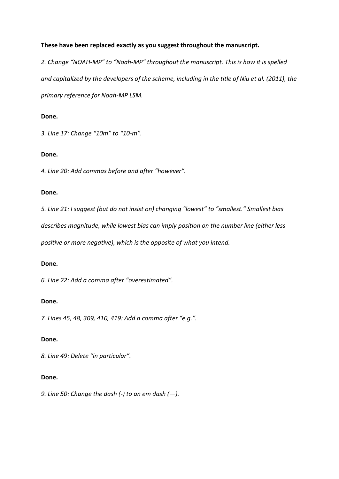## **These have been replaced exactly as you suggest throughout the manuscript.**

*2. Change "NOAH-MP" to "Noah-MP" throughout the manuscript. This is how it is spelled and capitalized by the developers of the scheme, including in the title of Niu et al. (2011), the primary reference for Noah-MP LSM.*

## **Done.**

*3. Line 17: Change "10m" to "10-m".*

## **Done.**

*4. Line 20: Add commas before and after "however".*

## **Done.**

*5. Line 21: I suggest (but do not insist on) changing "lowest" to "smallest." Smallest bias* 

*describes magnitude, while lowest bias can imply position on the number line (either less* 

*positive or more negative), which is the opposite of what you intend.*

## **Done.**

*6. Line 22: Add a comma after "overestimated".*

## **Done.**

*7. Lines 45, 48, 309, 410, 419: Add a comma after "e.g.".*

## **Done.**

*8. Line 49: Delete "in particular".*

## **Done.**

*9. Line 50: Change the dash (-) to an em dash (—).*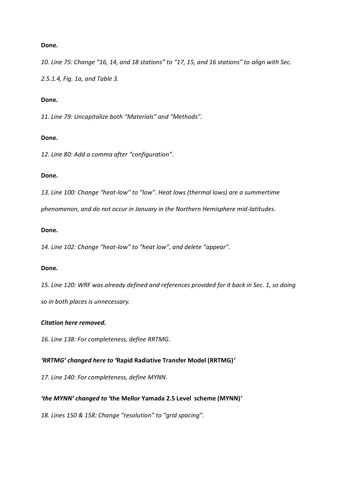*10. Line 75: Change "16, 14, and 18 stations" to "17, 15, and 16 stations" to align with Sec.* 

*2.5.1.4, Fig. 1a, and Table 3.*

### **Done.**

*11. Line 79: Uncapitalize both "Materials" and "Methods".*

### **Done.**

*12. Line 80: Add a comma after "configuration".*

#### **Done.**

*13. Line 100: Change "heat-low" to "low". Heat lows (thermal lows) are a summertime* 

*phenomenon, and do not occur in January in the Northern Hemisphere mid-latitudes.*

### **Done.**

*14. Line 102: Change "heat-low" to "heat low", and delete "appear".*

#### **Done.**

*15. Line 120: WRF was already defined and references provided for it back in Sec. 1, so doing so in both places is unnecessary.*

## *Citation here removed.*

*16. Line 138: For completeness, define RRTMG.*

## *'RRTMG' changed here to '***Rapid Radiative Transfer Model (RRTMG)***'*

*17. Line 140: For completeness, define MYNN.*

## *'the MYNN' changed to '***the Mellor Yamada 2.5 Level scheme (MYNN)***'*

*18. Lines 150 & 158: Change "resolution" to "grid spacing".*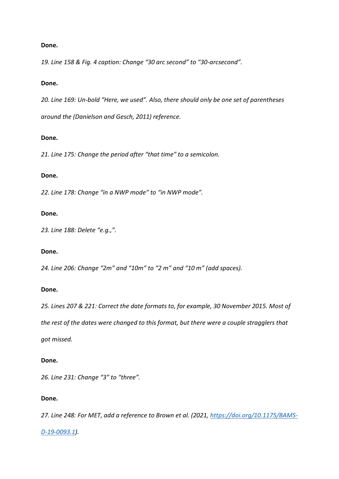*19. Line 158 & Fig. 4 caption: Change "30 arc second" to "30-arcsecond".*

### **Done.**

*20. Line 169: Un-bold "Here, we used". Also, there should only be one set of parentheses around the (Danielson and Gesch, 2011) reference.*

### **Done.**

*21. Line 175: Change the period after "that time" to a semicolon.*

### **Done.**

*22. Line 178: Change "in a NWP mode" to "in NWP mode".*

#### **Done.**

*23. Line 188: Delete "e.g.,".*

### **Done.**

*24. Line 206: Change "2m" and "10m" to "2 m" and "10 m" (add spaces).*

#### **Done.**

*25. Lines 207 & 221: Correct the date formats to, for example, 30 November 2015. Most of the rest of the dates were changed to this format, but there were a couple stragglers that* 

*got missed.*

### **Done.**

*26. Line 231: Change "3" to "three".*

### **Done.**

*27. Line 248: For MET, add a reference to Brown et al. (2021, [https://doi.org/10.1175/BAMS-](https://doi.org/10.1175/BAMS-D-19-0093.1)*

## *[D-19-0093.1\)](https://doi.org/10.1175/BAMS-D-19-0093.1).*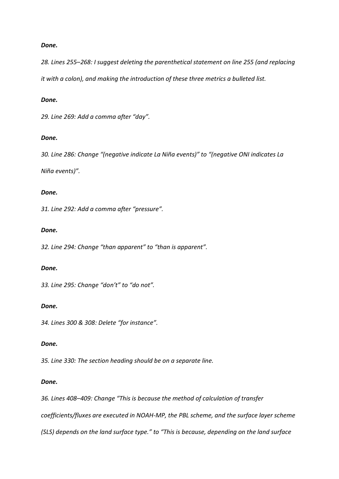*28. Lines 255–268: I suggest deleting the parenthetical statement on line 255 (and replacing it with a colon), and making the introduction of these three metrics a bulleted list.*

#### *Done.*

*29. Line 269: Add a comma after "day".*

#### *Done.*

*30. Line 286: Change "(negative indicate La Niña events)" to "(negative ONI indicates La Niña events)".*

### *Done.*

*31. Line 292: Add a comma after "pressure".*

#### *Done.*

*32. Line 294: Change "than apparent" to "than is apparent".*

#### *Done.*

*33. Line 295: Change "don't" to "do not".*

#### *Done.*

*34. Lines 300 & 308: Delete "for instance".*

#### *Done.*

*35. Line 330: The section heading should be on a separate line.*

#### *Done.*

*36. Lines 408–409: Change "This is because the method of calculation of transfer* 

*coefficients/fluxes are executed in NOAH-MP, the PBL scheme, and the surface layer scheme* 

*(SLS) depends on the land surface type." to "This is because, depending on the land surface*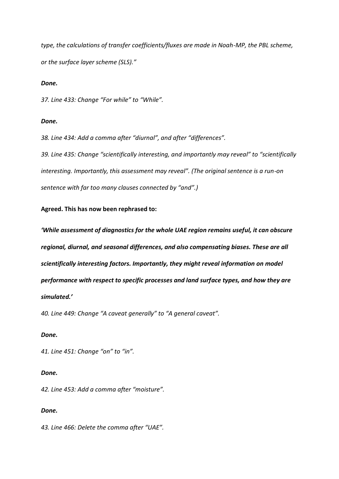*type, the calculations of transfer coefficients/fluxes are made in Noah-MP, the PBL scheme, or the surface layer scheme (SLS)."*

#### *Done.*

*37. Line 433: Change "For while" to "While".*

### *Done.*

*38. Line 434: Add a comma after "diurnal", and after "differences".*

*39. Line 435: Change "scientifically interesting, and importantly may reveal" to "scientifically interesting. Importantly, this assessment may reveal". (The original sentence is a run-on sentence with far too many clauses connected by "and".)*

### **Agreed. This has now been rephrased to:**

*'While assessment of diagnostics for the whole UAE region remains useful, it can obscure regional, diurnal, and seasonal differences, and also compensating biases. These are all scientifically interesting factors. Importantly, they might reveal information on model performance with respect to specific processes and land surface types, and how they are simulated.'*

*40. Line 449: Change "A caveat generally" to "A general caveat".*

#### *Done.*

*41. Line 451: Change "on" to "in".*

### *Done.*

*42. Line 453: Add a comma after "moisture".*

### *Done.*

*43. Line 466: Delete the comma after "UAE".*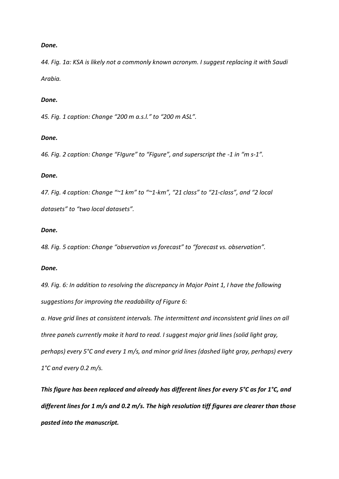*44. Fig. 1a: KSA is likely not a commonly known acronym. I suggest replacing it with Saudi Arabia.*

#### *Done.*

*45. Fig. 1 caption: Change "200 m a.s.l." to "200 m ASL".*

#### *Done.*

*46. Fig. 2 caption: Change "Flgure" to "Figure", and superscript the -1 in "m s-1".* 

#### *Done.*

*47. Fig. 4 caption: Change "~1 km" to "~1-km", "21 class" to "21-class", and "2 local datasets" to "two local datasets".*

### *Done.*

*48. Fig. 5 caption: Change "observation vs forecast" to "forecast vs. observation".*

#### *Done.*

*49. Fig. 6: In addition to resolving the discrepancy in Major Point 1, I have the following suggestions for improving the readability of Figure 6:*

*a. Have grid lines at consistent intervals. The intermittent and inconsistent grid lines on all three panels currently make it hard to read. I suggest major grid lines (solid light gray, perhaps) every 5°C and every 1 m/s, and minor grid lines (dashed light gray, perhaps) every 1°C and every 0.2 m/s.*

*This figure has been replaced and already has different lines for every 5°C as for 1°C, and different lines for 1 m/s and 0.2 m/s. The high resolution tiff figures are clearer than those pasted into the manuscript.*